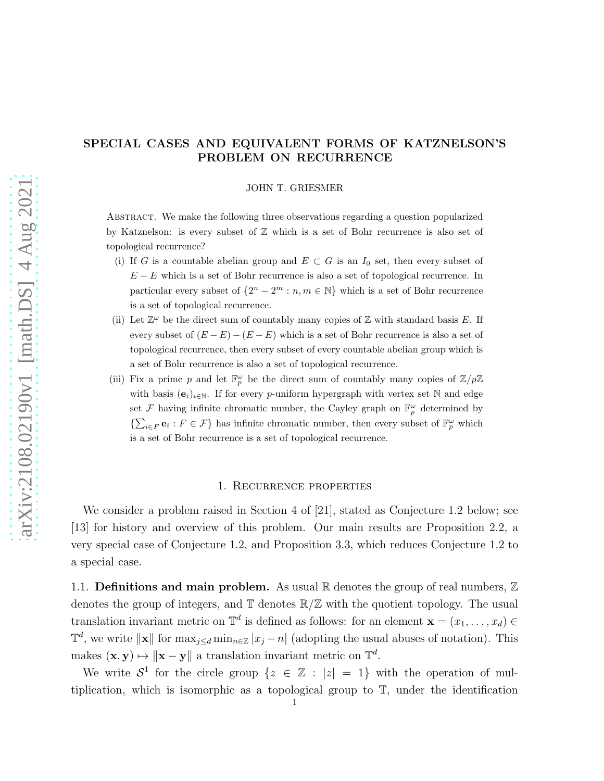# SPECIAL CASES AND EQUIVALENT FORMS OF KATZNELSON'S PROBLEM ON RECURRENCE

### JOHN T. GRIESMER

Abstract. We make the following three observations regarding a question popularized by Katznelson: is every subset of  $\mathbb Z$  which is a set of Bohr recurrence is also set of topological recurrence?

- (i) If G is a countable abelian group and  $E\subset G$  is an  $I_0$  set, then every subset of  $E - E$  which is a set of Bohr recurrence is also a set of topological recurrence. In particular every subset of  $\{2^n - 2^m : n, m \in \mathbb{N}\}\$  which is a set of Bohr recurrence is a set of topological recurrence.
- (ii) Let  $\mathbb{Z}^{\omega}$  be the direct sum of countably many copies of  $\mathbb Z$  with standard basis E. If every subset of  $(E - E) - (E - E)$  which is a set of Bohr recurrence is also a set of topological recurrence, then every subset of every countable abelian group which is a set of Bohr recurrence is also a set of topological recurrence.
- (iii) Fix a prime p and let  $\mathbb{F}_p^{\omega}$  be the direct sum of countably many copies of  $\mathbb{Z}/p\mathbb{Z}$ with basis  $(e_i)_{i\in\mathbb{N}}$ . If for every p-uniform hypergraph with vertex set N and edge set  $\mathcal F$  having infinite chromatic number, the Cayley graph on  $\mathbb{F}_p^{\omega}$  determined by  $\{\sum_{i\in F} \mathbf{e}_i : F \in \mathcal{F}\}\$  has infinite chromatic number, then every subset of  $\mathbb{F}_p^{\omega}$  which is a set of Bohr recurrence is a set of topological recurrence.

### 1. Recurrence properties

We consider a problem raised in Section 4 of [\[21\]](#page-15-0), stated as Conjecture [1.2](#page-2-0) below; see [\[13\]](#page-15-1) for history and overview of this problem. Our main results are Proposition [2.2,](#page-3-0) a very special case of Conjecture [1.2,](#page-2-0) and Proposition [3.3,](#page-7-0) which reduces Conjecture [1.2](#page-2-0) to a special case.

1.1. **Definitions and main problem.** As usual  $\mathbb{R}$  denotes the group of real numbers,  $\mathbb{Z}$ denotes the group of integers, and  $\mathbb{T}$  denotes  $\mathbb{R}/\mathbb{Z}$  with the quotient topology. The usual translation invariant metric on  $\mathbb{T}^d$  is defined as follows: for an element  $\mathbf{x} = (x_1, \ldots, x_d) \in$  $\mathbb{T}^d$ , we write  $\|\mathbf{x}\|$  for  $\max_{j\leq d} \min_{n\in\mathbb{Z}} |x_j - n|$  (adopting the usual abuses of notation). This makes  $(\mathbf{x}, \mathbf{y}) \mapsto ||\mathbf{x} - \mathbf{y}||$  a translation invariant metric on  $\mathbb{T}^d$ .

We write  $S^1$  for the circle group  $\{z \in \mathbb{Z} : |z| = 1\}$  with the operation of multiplication, which is isomorphic as a topological group to T, under the identification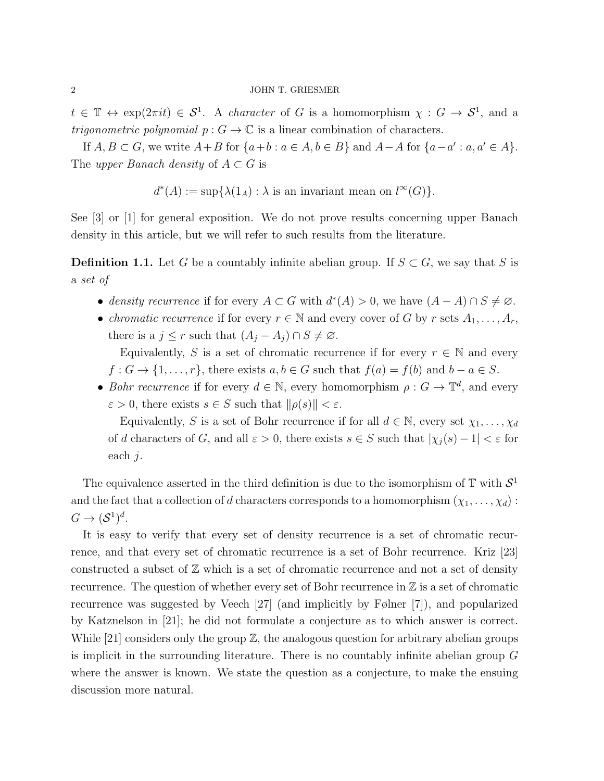$t \in \mathbb{T} \leftrightarrow \exp(2\pi i t) \in S^1$ . A character of G is a homomorphism  $\chi : G \to S^1$ , and a *trigonometric polynomial*  $p: G \to \mathbb{C}$  is a linear combination of characters.

If  $A, B \subset G$ , we write  $A + B$  for  $\{a+b : a \in A, b \in B\}$  and  $A - A$  for  $\{a-a' : a, a' \in A\}$ . The upper Banach density of  $A \subset G$  is

 $d^*(A) := \sup \{ \lambda(1_A) : \lambda \text{ is an invariant mean on } l^{\infty}(G) \}.$ 

See [\[3\]](#page-14-0) or [\[1\]](#page-14-1) for general exposition. We do not prove results concerning upper Banach density in this article, but we will refer to such results from the literature.

**Definition 1.1.** Let G be a countably infinite abelian group. If  $S \subset G$ , we say that S is a set of

- density recurrence if for every  $A \subset G$  with  $d^*(A) > 0$ , we have  $(A A) \cap S \neq \emptyset$ .
- *chromatic recurrence* if for every  $r \in \mathbb{N}$  and every cover of G by r sets  $A_1, \ldots, A_r$ there is a  $j \leq r$  such that  $(A_j - A_j) \cap S \neq \emptyset$ .

Equivalently, S is a set of chromatic recurrence if for every  $r \in \mathbb{N}$  and every  $f: G \to \{1, \ldots, r\}$ , there exists  $a, b \in G$  such that  $f(a) = f(b)$  and  $b - a \in S$ .

• Bohr recurrence if for every  $d \in \mathbb{N}$ , every homomorphism  $\rho : G \to \mathbb{T}^d$ , and every  $\varepsilon > 0$ , there exists  $s \in S$  such that  $\|\rho(s)\| < \varepsilon$ .

Equivalently, S is a set of Bohr recurrence if for all  $d \in \mathbb{N}$ , every set  $\chi_1, \ldots, \chi_d$ of d characters of G, and all  $\varepsilon > 0$ , there exists  $s \in S$  such that  $|\chi_i(s) - 1| < \varepsilon$  for each j.

The equivalence asserted in the third definition is due to the isomorphism of  $\mathbb T$  with  $\mathcal{S}^1$ and the fact that a collection of d characters corresponds to a homomorphism  $(\chi_1, \ldots, \chi_d)$ :  $G \to (\mathcal{S}^1)^d$ .

It is easy to verify that every set of density recurrence is a set of chromatic recurrence, and that every set of chromatic recurrence is a set of Bohr recurrence. Kriz [\[23\]](#page-15-2) constructed a subset of  $\mathbb Z$  which is a set of chromatic recurrence and not a set of density recurrence. The question of whether every set of Bohr recurrence in  $\mathbb Z$  is a set of chromatic recurrence was suggested by Veech [\[27\]](#page-16-0) (and implicitly by Følner [\[7\]](#page-15-3)), and popularized by Katznelson in [\[21\]](#page-15-0); he did not formulate a conjecture as to which answer is correct. While  $|21|$  considers only the group  $\mathbb{Z}$ , the analogous question for arbitrary abelian groups is implicit in the surrounding literature. There is no countably infinite abelian group G where the answer is known. We state the question as a conjecture, to make the ensuing discussion more natural.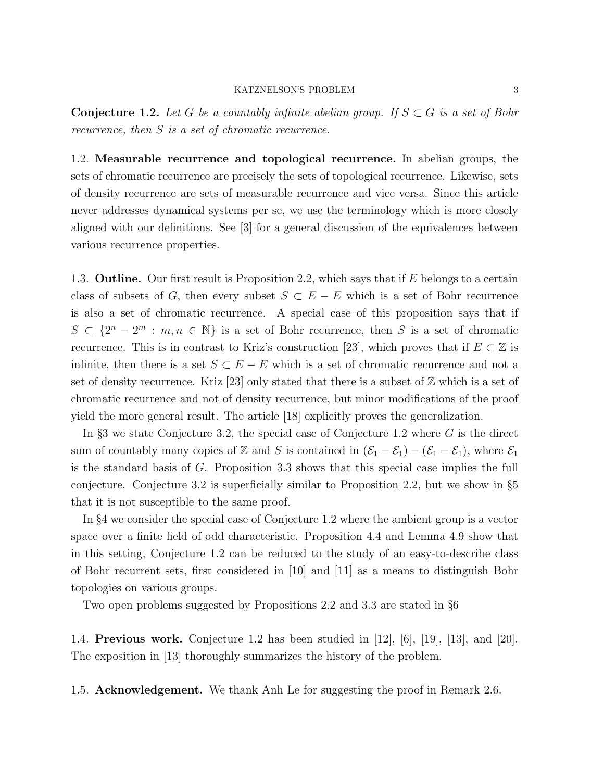<span id="page-2-0"></span>**Conjecture 1.2.** Let G be a countably infinite abelian group. If  $S \subset G$  is a set of Bohr recurrence, then S is a set of chromatic recurrence.

1.2. Measurable recurrence and topological recurrence. In abelian groups, the sets of chromatic recurrence are precisely the sets of topological recurrence. Likewise, sets of density recurrence are sets of measurable recurrence and vice versa. Since this article never addresses dynamical systems per se, we use the terminology which is more closely aligned with our definitions. See [\[3\]](#page-14-0) for a general discussion of the equivalences between various recurrence properties.

1.3. **Outline.** Our first result is Proposition [2.2,](#page-3-0) which says that if  $E$  belongs to a certain class of subsets of G, then every subset  $S \subset E - E$  which is a set of Bohr recurrence is also a set of chromatic recurrence. A special case of this proposition says that if  $S \subset \{2^n - 2^m : m, n \in \mathbb{N}\}\$ is a set of Bohr recurrence, then S is a set of chromatic recurrence. This is in contrast to Kriz's construction [\[23\]](#page-15-2), which proves that if  $E \subset \mathbb{Z}$  is infinite, then there is a set  $S \subset E - E$  which is a set of chromatic recurrence and not a set of density recurrence. Kriz [\[23\]](#page-15-2) only stated that there is a subset of  $\mathbb Z$  which is a set of chromatic recurrence and not of density recurrence, but minor modifications of the proof yield the more general result. The article [\[18\]](#page-15-4) explicitly proves the generalization.

In  $\S$ [3](#page-6-0) we state Conjecture [3.2,](#page-7-1) the special case of Conjecture [1.2](#page-2-0) where  $G$  is the direct sum of countably many copies of Z and S is contained in  $(\mathcal{E}_1 - \mathcal{E}_1) - (\mathcal{E}_1 - \mathcal{E}_1)$ , where  $\mathcal{E}_1$ is the standard basis of G. Proposition [3.3](#page-7-0) shows that this special case implies the full conjecture. Conjecture [3.2](#page-7-1) is superficially similar to Proposition [2.2,](#page-3-0) but we show in §[5](#page-12-0) that it is not susceptible to the same proof.

In §[4](#page-8-0) we consider the special case of Conjecture [1.2](#page-2-0) where the ambient group is a vector space over a finite field of odd characteristic. Proposition [4.4](#page-9-0) and Lemma [4.9](#page-11-0) show that in this setting, Conjecture [1.2](#page-2-0) can be reduced to the study of an easy-to-describe class of Bohr recurrent sets, first considered in [\[10\]](#page-15-5) and [\[11\]](#page-15-6) as a means to distinguish Bohr topologies on various groups.

Two open problems suggested by Propositions [2.2](#page-3-0) and [3.3](#page-7-0) are stated in §[6](#page-14-2)

1.4. Previous work. Conjecture [1.2](#page-2-0) has been studied in [\[12\]](#page-15-7), [\[6\]](#page-15-8), [\[19\]](#page-15-9), [\[13\]](#page-15-1), and [\[20\]](#page-15-10). The exposition in [\[13\]](#page-15-1) thoroughly summarizes the history of the problem.

1.5. Acknowledgement. We thank Anh Le for suggesting the proof in Remark [2.6.](#page-4-0)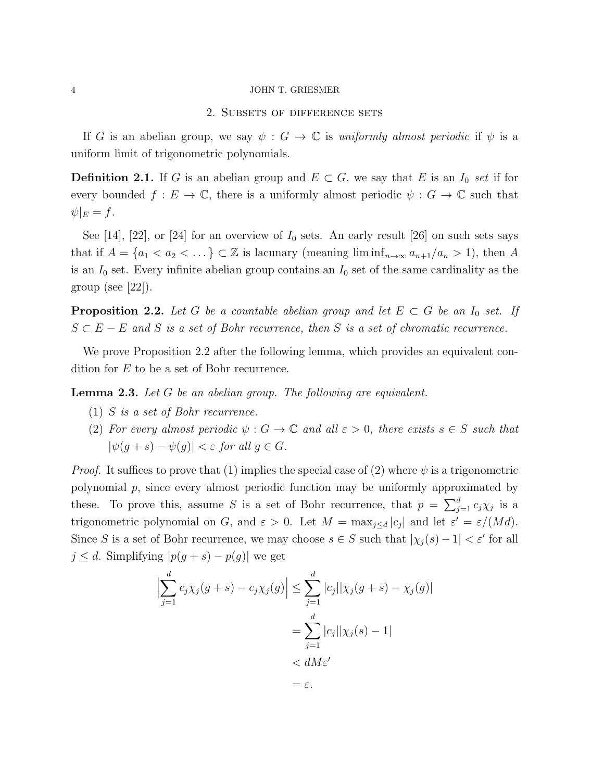# 2. Subsets of difference sets

If G is an abelian group, we say  $\psi : G \to \mathbb{C}$  is uniformly almost periodic if  $\psi$  is a uniform limit of trigonometric polynomials.

**Definition 2.1.** If G is an abelian group and  $E \subset G$ , we say that E is an  $I_0$  set if for every bounded  $f: E \to \mathbb{C}$ , there is a uniformly almost periodic  $\psi: G \to \mathbb{C}$  such that  $\psi|_E = f.$ 

See [\[14\]](#page-15-11), [\[22\]](#page-15-12), or [\[24\]](#page-16-1) for an overview of  $I_0$  sets. An early result [\[26\]](#page-16-2) on such sets says that if  $A = \{a_1 < a_2 < \ldots\} \subset \mathbb{Z}$  is lacunary (meaning  $\liminf_{n \to \infty} a_{n+1}/a_n > 1$ ), then A is an  $I_0$  set. Every infinite abelian group contains an  $I_0$  set of the same cardinality as the group (see  $[22]$ ).

<span id="page-3-0"></span>**Proposition 2.2.** Let G be a countable abelian group and let  $E \subset G$  be an  $I_0$  set. If  $S \subset E - E$  and S is a set of Bohr recurrence, then S is a set of chromatic recurrence.

We prove Proposition [2.2](#page-3-0) after the following lemma, which provides an equivalent condition for E to be a set of Bohr recurrence.

<span id="page-3-3"></span><span id="page-3-2"></span><span id="page-3-1"></span>**Lemma 2.3.** Let G be an abelian group. The following are equivalent.

- (1) S is a set of Bohr recurrence.
- (2) For every almost periodic  $\psi : G \to \mathbb{C}$  and all  $\varepsilon > 0$ , there exists  $s \in S$  such that  $|\psi(g + s) - \psi(g)| < \varepsilon$  for all  $g \in G$ .

*Proof.* It suffices to prove that [\(1\)](#page-3-1) implies the special case of [\(2\)](#page-3-2) where  $\psi$  is a trigonometric polynomial  $p$ , since every almost periodic function may be uniformly approximated by these. To prove this, assume S is a set of Bohr recurrence, that  $p = \sum_{j=1}^{d} c_j \chi_j$  is a trigonometric polynomial on G, and  $\varepsilon > 0$ . Let  $M = \max_{j \le d} |c_j|$  and let  $\varepsilon' = \varepsilon/(Md)$ . Since S is a set of Bohr recurrence, we may choose  $s \in S$  such that  $|\chi_j(s) - 1| < \varepsilon'$  for all  $j \leq d$ . Simplifying  $|p(g + s) - p(g)|$  we get

$$
\left| \sum_{j=1}^{d} c_j \chi_j(g+s) - c_j \chi_j(g) \right| \leq \sum_{j=1}^{d} |c_j| |\chi_j(g+s) - \chi_j(g)|
$$
  
= 
$$
\sum_{j=1}^{d} |c_j| |\chi_j(s) - 1|
$$
  
< 
$$
< dM \varepsilon'
$$
  
= 
$$
\varepsilon.
$$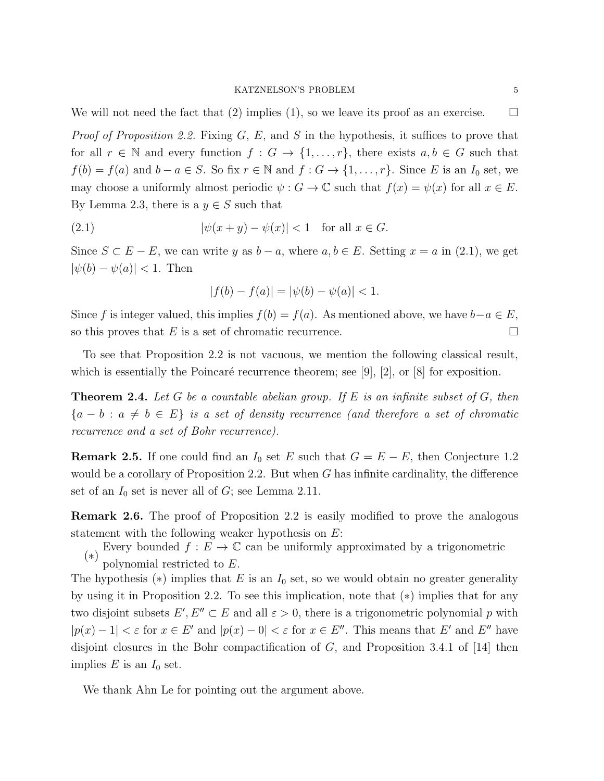We will not need the fact that [\(2\)](#page-3-2) implies [\(1\)](#page-3-1), so we leave its proof as an exercise.  $\square$ 

*Proof of Proposition [2.2.](#page-3-0)* Fixing  $G, E$ , and  $S$  in the hypothesis, it suffices to prove that for all  $r \in \mathbb{N}$  and every function  $f : G \to \{1, \ldots, r\}$ , there exists  $a, b \in G$  such that  $f(b) = f(a)$  and  $b - a \in S$ . So fix  $r \in \mathbb{N}$  and  $f : G \to \{1, ..., r\}$ . Since E is an  $I_0$  set, we may choose a uniformly almost periodic  $\psi : G \to \mathbb{C}$  such that  $f(x) = \psi(x)$  for all  $x \in E$ . By Lemma [2.3,](#page-3-3) there is a  $y \in S$  such that

$$
|\psi(x+y) - \psi(x)| < 1 \quad \text{for all } x \in G.
$$

Since  $S \subset E - E$ , we can write y as  $b - a$ , where  $a, b \in E$ . Setting  $x = a$  in [\(2.1\)](#page-4-1), we get  $|\psi(b) - \psi(a)| < 1$ . Then

<span id="page-4-1"></span>
$$
|f(b) - f(a)| = |\psi(b) - \psi(a)| < 1.
$$

Since f is integer valued, this implies  $f(b) = f(a)$ . As mentioned above, we have  $b-a \in E$ , so this proves that E is a set of chromatic recurrence.

To see that Proposition [2.2](#page-3-0) is not vacuous, we mention the following classical result, which is essentially the Poincaré recurrence theorem; see [\[9\]](#page-15-13), [\[2\]](#page-14-3), or [\[8\]](#page-15-14) for exposition.

**Theorem 2.4.** Let G be a countable abelian group. If E is an infinite subset of  $G$ , then  ${a - b : a \neq b \in E}$  is a set of density recurrence (and therefore a set of chromatic recurrence and a set of Bohr recurrence).

**Remark 2.5.** If one could find an  $I_0$  set E such that  $G = E - E$ , then Conjecture [1.2](#page-2-0) would be a corollary of Proposition [2.2.](#page-3-0) But when G has infinite cardinality, the difference set of an  $I_0$  set is never all of G; see Lemma [2.11.](#page-5-0)

<span id="page-4-0"></span>Remark 2.6. The proof of Proposition [2.2](#page-3-0) is easily modified to prove the analogous statement with the following weaker hypothesis on  $E$ :

(∗) Every bounded  $f\,:\, E \,\rightarrow\, \mathbb{C}$  can be uniformly approximated by a trigonometric

polynomial restricted to E.

The hypothesis  $(*)$  implies that E is an  $I_0$  set, so we would obtain no greater generality by using it in Proposition [2.2.](#page-3-0) To see this implication, note that (∗) implies that for any two disjoint subsets  $E', E'' \subset E$  and all  $\varepsilon > 0$ , there is a trigonometric polynomial p with  $|p(x) - 1| < \varepsilon$  for  $x \in E'$  and  $|p(x) - 0| < \varepsilon$  for  $x \in E''$ . This means that E' and E'' have disjoint closures in the Bohr compactification of  $G$ , and Proposition 3.4.1 of [\[14\]](#page-15-11) then implies  $E$  is an  $I_0$  set.

We thank Ahn Le for pointing out the argument above.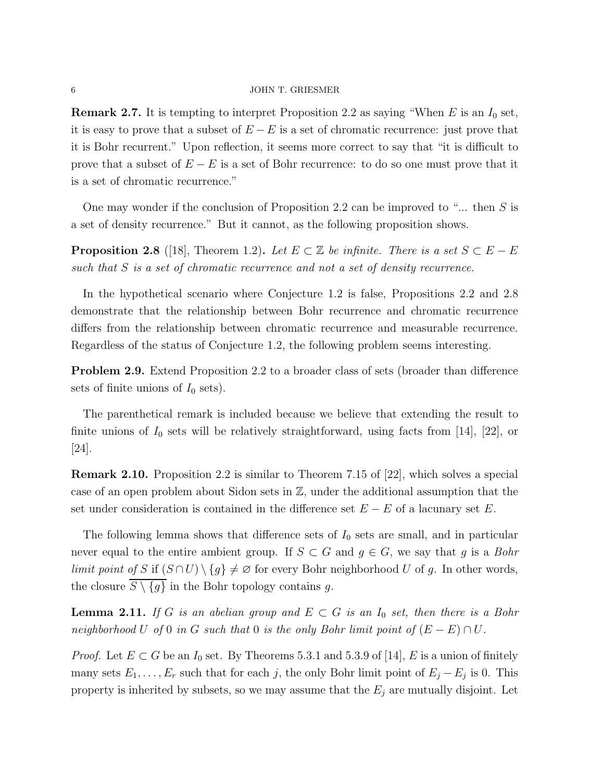**Remark 2.7.** It is tempting to interpret Proposition [2.2](#page-3-0) as saying "When  $E$  is an  $I_0$  set, it is easy to prove that a subset of  $E - E$  is a set of chromatic recurrence: just prove that it is Bohr recurrent." Upon reflection, it seems more correct to say that "it is difficult to prove that a subset of  $E - E$  is a set of Bohr recurrence: to do so one must prove that it is a set of chromatic recurrence."

One may wonder if the conclusion of Proposition [2.2](#page-3-0) can be improved to " $\ldots$  then S is a set of density recurrence." But it cannot, as the following proposition shows.

<span id="page-5-1"></span>**Proposition 2.8** ([\[18\]](#page-15-4), Theorem 1.2). Let  $E \subset \mathbb{Z}$  be infinite. There is a set  $S \subset E - E$ such that S is a set of chromatic recurrence and not a set of density recurrence.

In the hypothetical scenario where Conjecture [1.2](#page-2-0) is false, Propositions [2.2](#page-3-0) and [2.8](#page-5-1) demonstrate that the relationship between Bohr recurrence and chromatic recurrence differs from the relationship between chromatic recurrence and measurable recurrence. Regardless of the status of Conjecture [1.2,](#page-2-0) the following problem seems interesting.

Problem 2.9. Extend Proposition [2.2](#page-3-0) to a broader class of sets (broader than difference sets of finite unions of  $I_0$  sets).

The parenthetical remark is included because we believe that extending the result to finite unions of  $I_0$  sets will be relatively straightforward, using facts from [\[14\]](#page-15-11), [\[22\]](#page-15-12), or [\[24\]](#page-16-1).

Remark 2.10. Proposition [2.2](#page-3-0) is similar to Theorem 7.15 of [\[22\]](#page-15-12), which solves a special case of an open problem about Sidon sets in Z, under the additional assumption that the set under consideration is contained in the difference set  $E - E$  of a lacunary set E.

The following lemma shows that difference sets of  $I_0$  sets are small, and in particular never equal to the entire ambient group. If  $S \subset G$  and  $g \in G$ , we say that g is a Bohr limit point of S if  $(S \cap U) \setminus \{g\} \neq \emptyset$  for every Bohr neighborhood U of g. In other words, the closure  $\overline{S \setminus \{g\}}$  in the Bohr topology contains g.

<span id="page-5-0"></span>**Lemma 2.11.** If G is an abelian group and  $E \subset G$  is an  $I_0$  set, then there is a Bohr neighborhood U of 0 in G such that 0 is the only Bohr limit point of  $(E - E) \cap U$ .

*Proof.* Let  $E \subset G$  be an  $I_0$  set. By Theorems 5.3.1 and 5.3.9 of [\[14\]](#page-15-11), E is a union of finitely many sets  $E_1, \ldots, E_r$  such that for each j, the only Bohr limit point of  $E_j - E_j$  is 0. This property is inherited by subsets, so we may assume that the  $E_j$  are mutually disjoint. Let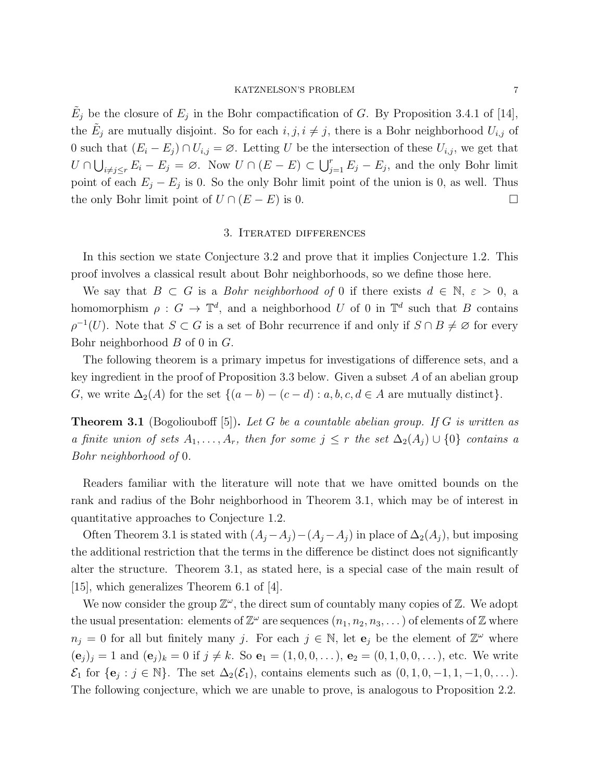### KATZNELSON'S PROBLEM 7

 $\tilde{E}_j$  be the closure of  $E_j$  in the Bohr compactification of G. By Proposition 3.4.1 of [\[14\]](#page-15-11), the  $\tilde{E}_j$  are mutually disjoint. So for each  $i, j, i \neq j$ , there is a Bohr neighborhood  $U_{i,j}$  of 0 such that  $(E_i - E_j) \cap U_{i,j} = \emptyset$ . Letting U be the intersection of these  $U_{i,j}$ , we get that  $U \cap \bigcup_{i \neq j \leq r} E_i - E_j = \emptyset$ . Now  $U \cap (E - E) \subset \bigcup_{j=1}^r E_j - E_j$ , and the only Bohr limit point of each  $E_j - E_j$  is 0. So the only Bohr limit point of the union is 0, as well. Thus the only Bohr limit point of  $U \cap (E - E)$  is 0.

# 3. Iterated differences

<span id="page-6-0"></span>In this section we state Conjecture [3.2](#page-7-1) and prove that it implies Conjecture [1.2.](#page-2-0) This proof involves a classical result about Bohr neighborhoods, so we define those here.

We say that  $B \subset G$  is a *Bohr neighborhood of* 0 if there exists  $d \in \mathbb{N}, \varepsilon > 0$ , a homomorphism  $\rho: G \to \mathbb{T}^d$ , and a neighborhood U of 0 in  $\mathbb{T}^d$  such that B contains  $\rho^{-1}(U)$ . Note that  $S \subset G$  is a set of Bohr recurrence if and only if  $S \cap B \neq \emptyset$  for every Bohr neighborhood B of 0 in G.

The following theorem is a primary impetus for investigations of difference sets, and a key ingredient in the proof of Proposition [3.3](#page-7-0) below. Given a subset A of an abelian group G, we write  $\Delta_2(A)$  for the set  $\{(a - b) - (c - d) : a, b, c, d \in A \text{ are mutually distinct}\}.$ 

<span id="page-6-1"></span>**Theorem 3.1** (Bogoliouboff [\[5\]](#page-15-15)). Let G be a countable abelian group. If G is written as a finite union of sets  $A_1, \ldots, A_r$ , then for some  $j \leq r$  the set  $\Delta_2(A_i) \cup \{0\}$  contains a Bohr neighborhood of 0.

Readers familiar with the literature will note that we have omitted bounds on the rank and radius of the Bohr neighborhood in Theorem [3.1,](#page-6-1) which may be of interest in quantitative approaches to Conjecture [1.2.](#page-2-0)

Often Theorem [3.1](#page-6-1) is stated with  $(A_j - A_j) - (A_j - A_j)$  in place of  $\Delta_2(A_j)$ , but imposing the additional restriction that the terms in the difference be distinct does not significantly alter the structure. Theorem [3.1,](#page-6-1) as stated here, is a special case of the main result of [\[15\]](#page-15-16), which generalizes Theorem 6.1 of [\[4\]](#page-14-4).

We now consider the group  $\mathbb{Z}^{\omega}$ , the direct sum of countably many copies of  $\mathbb{Z}$ . We adopt the usual presentation: elements of  $\mathbb{Z}^{\omega}$  are sequences  $(n_1, n_2, n_3, ...)$  of elements of  $\mathbb Z$  where  $n_j = 0$  for all but finitely many j. For each  $j \in \mathbb{N}$ , let  $e_j$  be the element of  $\mathbb{Z}^{\omega}$  where  $(e_j)_j = 1$  and  $(e_j)_k = 0$  if  $j \neq k$ . So  $e_1 = (1, 0, 0, \ldots), e_2 = (0, 1, 0, 0, \ldots)$ , etc. We write  $\mathcal{E}_1$  for  $\{e_j : j \in \mathbb{N}\}\.$  The set  $\Delta_2(\mathcal{E}_1)$ , contains elements such as  $(0, 1, 0, -1, 1, -1, 0, \ldots)\.$ The following conjecture, which we are unable to prove, is analogous to Proposition [2.2.](#page-3-0)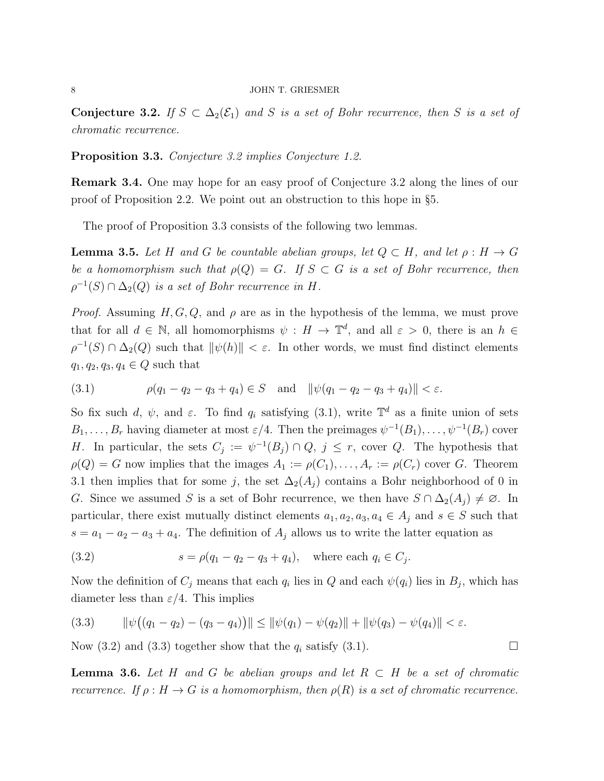<span id="page-7-1"></span>Conjecture 3.2. If  $S \subset \Delta_2(\mathcal{E}_1)$  and S is a set of Bohr recurrence, then S is a set of chromatic recurrence.

<span id="page-7-0"></span>Proposition 3.3. Conjecture [3.2](#page-7-1) implies Conjecture [1.2.](#page-2-0)

Remark 3.4. One may hope for an easy proof of Conjecture [3.2](#page-7-1) along the lines of our proof of Proposition [2.2.](#page-3-0) We point out an obstruction to this hope in §[5.](#page-12-0)

The proof of Proposition [3.3](#page-7-0) consists of the following two lemmas.

<span id="page-7-5"></span>**Lemma 3.5.** Let H and G be countable abelian groups, let  $Q \subset H$ , and let  $\rho : H \to G$ be a homomorphism such that  $\rho(Q) = G$ . If  $S \subset G$  is a set of Bohr recurrence, then  $\rho^{-1}(S) \cap \Delta_2(Q)$  is a set of Bohr recurrence in H.

*Proof.* Assuming  $H, G, Q$ , and  $\rho$  are as in the hypothesis of the lemma, we must prove that for all  $d \in \mathbb{N}$ , all homomorphisms  $\psi : H \to \mathbb{T}^d$ , and all  $\varepsilon > 0$ , there is an  $h \in$  $\rho^{-1}(S) \cap \Delta_2(Q)$  such that  $\|\psi(h)\| < \varepsilon$ . In other words, we must find distinct elements  $q_1, q_2, q_3, q_4 \in Q$  such that

<span id="page-7-2"></span>(3.1) 
$$
\rho(q_1 - q_2 - q_3 + q_4) \in S
$$
 and  $\|\psi(q_1 - q_2 - q_3 + q_4)\| < \varepsilon$ .

So fix such d,  $\psi$ , and  $\varepsilon$ . To find  $q_i$  satisfying [\(3.1\)](#page-7-2), write  $\mathbb{T}^d$  as a finite union of sets  $B_1, \ldots, B_r$  having diameter at most  $\varepsilon/4$ . Then the preimages  $\psi^{-1}(B_1), \ldots, \psi^{-1}(B_r)$  cover H. In particular, the sets  $C_j := \psi^{-1}(B_j) \cap Q, j \leq r$ , cover Q. The hypothesis that  $\rho(Q) = G$  now implies that the images  $A_1 := \rho(C_1), \ldots, A_r := \rho(C_r)$  cover G. Theorem [3.1](#page-6-1) then implies that for some j, the set  $\Delta_2(A_i)$  contains a Bohr neighborhood of 0 in G. Since we assumed S is a set of Bohr recurrence, we then have  $S \cap \Delta_2(A_j) \neq \emptyset$ . In particular, there exist mutually distinct elements  $a_1, a_2, a_3, a_4 \in A_j$  and  $s \in S$  such that  $s = a_1 - a_2 - a_3 + a_4$ . The definition of  $A_j$  allows us to write the latter equation as

<span id="page-7-3"></span>(3.2) 
$$
s = \rho(q_1 - q_2 - q_3 + q_4), \text{ where each } q_i \in C_j.
$$

Now the definition of  $C_j$  means that each  $q_i$  lies in  $Q$  and each  $\psi(q_i)$  lies in  $B_j$ , which has diameter less than  $\varepsilon/4$ . This implies

<span id="page-7-4"></span>(3.3) 
$$
\|\psi((q_1-q_2)-(q_3-q_4))\| \le \|\psi(q_1)-\psi(q_2)\| + \|\psi(q_3)-\psi(q_4)\| < \varepsilon.
$$

Now [\(3.2\)](#page-7-3) and [\(3.3\)](#page-7-4) together show that the  $q_i$  satisfy [\(3.1\)](#page-7-2).

<span id="page-7-6"></span>**Lemma 3.6.** Let H and G be abelian groups and let  $R \subset H$  be a set of chromatic recurrence. If  $\rho: H \to G$  is a homomorphism, then  $\rho(R)$  is a set of chromatic recurrence.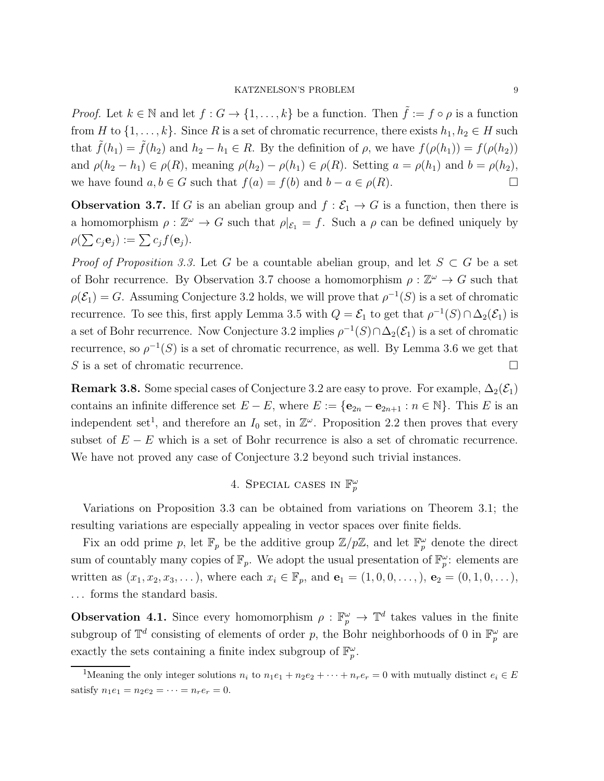*Proof.* Let  $k \in \mathbb{N}$  and let  $f : G \to \{1, ..., k\}$  be a function. Then  $\tilde{f} := f \circ \rho$  is a function from H to  $\{1,\ldots,k\}$ . Since R is a set of chromatic recurrence, there exists  $h_1, h_2 \in H$  such that  $\tilde{f}(h_1) = \tilde{f}(h_2)$  and  $h_2 - h_1 \in R$ . By the definition of  $\rho$ , we have  $f(\rho(h_1)) = f(\rho(h_2))$ and  $\rho(h_2 - h_1) \in \rho(R)$ , meaning  $\rho(h_2) - \rho(h_1) \in \rho(R)$ . Setting  $a = \rho(h_1)$  and  $b = \rho(h_2)$ , we have found  $a, b \in G$  such that  $f(a) = f(b)$  and  $b - a \in \rho(R)$ .

<span id="page-8-1"></span>**Observation 3.7.** If G is an abelian group and  $f : \mathcal{E}_1 \to G$  is a function, then there is a homomorphism  $\rho : \mathbb{Z}^{\omega} \to G$  such that  $\rho|_{\mathcal{E}_1} = f$ . Such a  $\rho$  can be defined uniquely by  $\rho(\sum c_j \mathbf{e}_j) := \sum c_j f(\mathbf{e}_j).$ 

*Proof of Proposition [3.3.](#page-7-0)* Let G be a countable abelian group, and let  $S \subset G$  be a set of Bohr recurrence. By Observation [3.7](#page-8-1) choose a homomorphism  $\rho : \mathbb{Z}^{\omega} \to G$  such that  $\rho(\mathcal{E}_1) = G$ . Assuming Conjecture [3.2](#page-7-1) holds, we will prove that  $\rho^{-1}(S)$  is a set of chromatic recurrence. To see this, first apply Lemma [3.5](#page-7-5) with  $Q = \mathcal{E}_1$  to get that  $\rho^{-1}(S) \cap \Delta_2(\mathcal{E}_1)$  is a set of Bohr recurrence. Now Conjecture [3.2](#page-7-1) implies  $\rho^{-1}(S) \cap \Delta_2(\mathcal{E}_1)$  is a set of chromatic recurrence, so  $\rho^{-1}(S)$  is a set of chromatic recurrence, as well. By Lemma [3.6](#page-7-6) we get that S is a set of chromatic recurrence.

**Remark 3.8.** Some special cases of Conjecture [3.2](#page-7-1) are easy to prove. For example,  $\Delta_2(\mathcal{E}_1)$ contains an infinite difference set  $E - E$ , where  $E := \{e_{2n} - e_{2n+1} : n \in \mathbb{N}\}\.$  This E is an independent set<sup>[1](#page-8-2)</sup>, and therefore an  $I_0$  set, in  $\mathbb{Z}^{\omega}$ . Proposition [2.2](#page-3-0) then proves that every subset of  $E - E$  which is a set of Bohr recurrence is also a set of chromatic recurrence. We have not proved any case of Conjecture [3.2](#page-7-1) beyond such trivial instances.

# 4. SPECIAL CASES IN  $\mathbb{F}_p^\omega$

<span id="page-8-0"></span>Variations on Proposition [3.3](#page-7-0) can be obtained from variations on Theorem [3.1;](#page-6-1) the resulting variations are especially appealing in vector spaces over finite fields.

Fix an odd prime p, let  $\mathbb{F}_p$  be the additive group  $\mathbb{Z}/p\mathbb{Z}$ , and let  $\mathbb{F}_p^{\omega}$  denote the direct sum of countably many copies of  $\mathbb{F}_p$ . We adopt the usual presentation of  $\mathbb{F}_p^{\omega}$ : elements are written as  $(x_1, x_2, x_3, \ldots)$ , where each  $x_i \in \mathbb{F}_p$ , and  $\mathbf{e}_1 = (1, 0, 0, \ldots)$ ,  $\mathbf{e}_2 = (0, 1, 0, \ldots)$ , . . . forms the standard basis.

**Observation 4.1.** Since every homomorphism  $\rho : \mathbb{F}_p^{\omega} \to \mathbb{T}^d$  takes values in the finite subgroup of  $\mathbb{T}^d$  consisting of elements of order p, the Bohr neighborhoods of 0 in  $\mathbb{F}_p^\omega$  are exactly the sets containing a finite index subgroup of  $\mathbb{F}_p^{\omega}$ .

<span id="page-8-2"></span><sup>&</sup>lt;sup>1</sup>Meaning the only integer solutions  $n_i$  to  $n_1e_1 + n_2e_2 + \cdots + n_re_r = 0$  with mutually distinct  $e_i \in E$ satisfy  $n_1e_1 = n_2e_2 = \cdots = n_re_r = 0$ .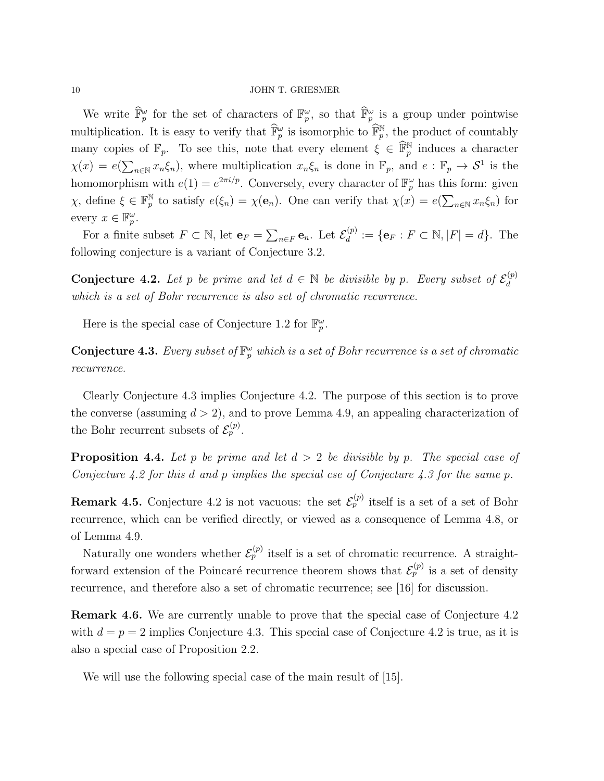We write  $\widehat{\mathbb{F}}_p^{\omega}$  for the set of characters of  $\mathbb{F}_p^{\omega}$ , so that  $\widehat{\mathbb{F}}_p^{\omega}$  is a group under pointwise multiplication. It is easy to verify that  $\widehat{\mathbb{F}}_p^{\omega}$  is isomorphic to  $\widehat{\mathbb{F}}_p^{\mathbb{N}}$ , the product of countably many copies of  $\mathbb{F}_p$ . To see this, note that every element  $\xi \in \widehat{\mathbb{F}}_p^{\mathbb{N}}$  induces a character  $\chi(x) = e(\sum_{n \in \mathbb{N}} x_n \xi_n)$ , where multiplication  $x_n \xi_n$  is done in  $\mathbb{F}_p$ , and  $e : \mathbb{F}_p \to \mathcal{S}^1$  is the homomorphism with  $e(1) = e^{2\pi i/p}$ . Conversely, every character of  $\mathbb{F}_p^{\omega}$  has this form: given  $\chi$ , define  $\xi \in \mathbb{F}_p^{\mathbb{N}}$ <sup>N</sup> to satisfy  $e(\xi_n) = \chi(\mathbf{e}_n)$ . One can verify that  $\chi(x) = e(\sum_{n \in \mathbb{N}} x_n \xi_n)$  for every  $x \in \mathbb{F}_p^{\omega}$ .

For a finite subset  $F \subset \mathbb{N}$ , let  $\mathbf{e}_F = \sum_{n \in F} \mathbf{e}_n$ . Let  $\mathcal{E}_d^{(p)}$  $d_d^{(p)} := \{e_F : F \subset \mathbb{N}, |F| = d\}.$  The following conjecture is a variant of Conjecture [3.2.](#page-7-1)

<span id="page-9-2"></span>**Conjecture 4.2.** Let p be prime and let  $d \in \mathbb{N}$  be divisible by p. Every subset of  $\mathcal{E}_d^{(p)}$ d which is a set of Bohr recurrence is also set of chromatic recurrence.

Here is the special case of Conjecture [1.2](#page-2-0) for  $\mathbb{F}_p^{\omega}$ .

<span id="page-9-1"></span>**Conjecture 4.3.** Every subset of  $\mathbb{F}_p^{\omega}$  which is a set of Bohr recurrence is a set of chromatic recurrence.

Clearly Conjecture [4.3](#page-9-1) implies Conjecture [4.2.](#page-9-2) The purpose of this section is to prove the converse (assuming  $d > 2$ ), and to prove Lemma [4.9,](#page-11-0) an appealing characterization of the Bohr recurrent subsets of  $\mathcal{E}_p^{(p)}$ .

<span id="page-9-0"></span>**Proposition 4.4.** Let p be prime and let  $d > 2$  be divisible by p. The special case of Conjecture [4.2](#page-9-2) for this d and p implies the special cse of Conjecture [4.3](#page-9-1) for the same p.

**Remark 4.5.** Conjecture [4.2](#page-9-2) is not vacuous: the set  $\mathcal{E}_p^{(p)}$  itself is a set of a set of Bohr recurrence, which can be verified directly, or viewed as a consequence of Lemma [4.8,](#page-10-0) or of Lemma [4.9.](#page-11-0)

Naturally one wonders whether  $\mathcal{E}_p^{(p)}$  itself is a set of chromatic recurrence. A straightforward extension of the Poincaré recurrence theorem shows that  $\mathcal{E}_p^{(p)}$  is a set of density recurrence, and therefore also a set of chromatic recurrence; see [\[16\]](#page-15-17) for discussion.

Remark 4.6. We are currently unable to prove that the special case of Conjecture [4.2](#page-9-2) with  $d = p = 2$  implies Conjecture [4.3.](#page-9-1) This special case of Conjecture [4.2](#page-9-2) is true, as it is also a special case of Proposition [2.2.](#page-3-0)

We will use the following special case of the main result of [\[15\]](#page-15-16).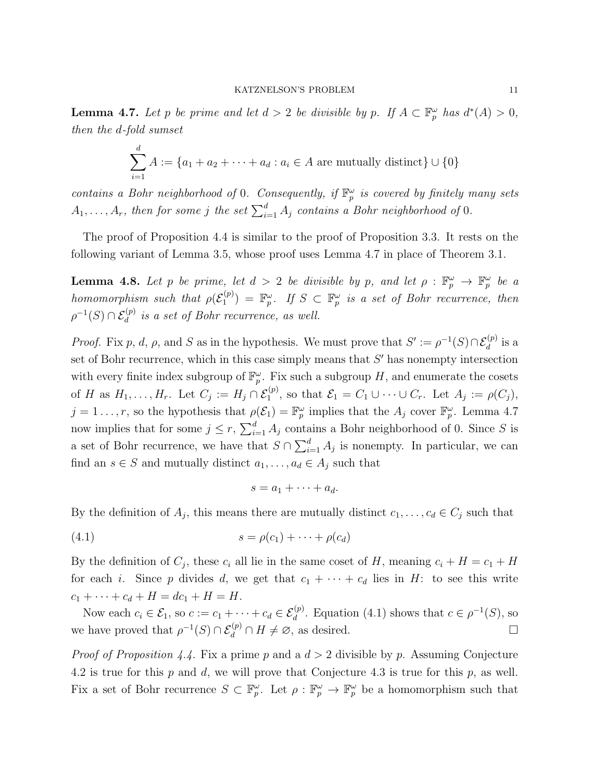<span id="page-10-1"></span>**Lemma 4.7.** Let p be prime and let  $d > 2$  be divisible by p. If  $A \subset \mathbb{F}_p^{\omega}$  has  $d^*(A) > 0$ , then the d-fold sumset

$$
\sum_{i=1}^{d} A := \{a_1 + a_2 + \dots + a_d : a_i \in A \text{ are mutually distinct}\} \cup \{0\}
$$

contains a Bohr neighborhood of 0. Consequently, if  $\mathbb{F}_p^{\omega}$  is covered by finitely many sets  $A_1, \ldots, A_r$ , then for some j the set  $\sum_{i=1}^d A_j$  contains a Bohr neighborhood of 0.

The proof of Proposition [4.4](#page-9-0) is similar to the proof of Proposition [3.3.](#page-7-0) It rests on the following variant of Lemma [3.5,](#page-7-5) whose proof uses Lemma [4.7](#page-10-1) in place of Theorem [3.1.](#page-6-1)

<span id="page-10-0"></span>**Lemma 4.8.** Let p be prime, let  $d > 2$  be divisible by p, and let  $\rho : \mathbb{F}_p^{\omega} \to \mathbb{F}_p^{\omega}$  be a homomorphism such that  $\rho(\mathcal{E}_1^{(p)})$  $\mathcal{L}_1^{(p)}$  =  $\mathbb{F}_p^{\omega}$ . If  $S \subset \mathbb{F}_p^{\omega}$  is a set of Bohr recurrence, then  $\rho^{-1}(S) \cap \mathcal{E}_d^{(p)}$  is a set of Bohr recurrence, as well.

*Proof.* Fix p, d,  $\rho$ , and S as in the hypothesis. We must prove that  $S' := \rho^{-1}(S) \cap \mathcal{E}_d^{(p)}$  is a set of Bohr recurrence, which in this case simply means that  $S'$  has nonempty intersection with every finite index subgroup of  $\mathbb{F}_p^{\omega}$ . Fix such a subgroup H, and enumerate the cosets of H as  $H_1, \ldots, H_r$ . Let  $C_j := H_j \cap \mathcal{E}_1^{(p)}$ , so that  $\mathcal{E}_1 = C_1 \cup \cdots \cup C_r$ . Let  $A_j := \rho(C_j)$ ,  $j = 1 \ldots, r$ , so the hypothesis that  $\rho(\mathcal{E}_1) = \mathbb{F}_p^{\omega}$  implies that the  $A_j$  cover  $\mathbb{F}_p^{\omega}$ . Lemma [4.7](#page-10-1) now implies that for some  $j \leq r$ ,  $\sum_{i=1}^{d} A_j$  contains a Bohr neighborhood of 0. Since S is a set of Bohr recurrence, we have that  $S \cap \sum_{i=1}^{d} A_i$  is nonempty. In particular, we can find an  $s \in S$  and mutually distinct  $a_1, \ldots, a_d \in A_j$  such that

<span id="page-10-2"></span>
$$
s = a_1 + \cdots + a_d.
$$

By the definition of  $A_j$ , this means there are mutually distinct  $c_1, \ldots, c_d \in C_j$  such that

$$
(4.1) \qquad \qquad s = \rho(c_1) + \cdots + \rho(c_d)
$$

By the definition of  $C_j$ , these  $c_i$  all lie in the same coset of H, meaning  $c_i + H = c_1 + H$ for each i. Since p divides d, we get that  $c_1 + \cdots + c_d$  lies in H: to see this write  $c_1 + \cdots + c_d + H = dc_1 + H = H.$ 

Now each  $c_i \in \mathcal{E}_1$ , so  $c := c_1 + \cdots + c_d \in \mathcal{E}_d^{(p)}$ . Equation [\(4.1\)](#page-10-2) shows that  $c \in \rho^{-1}(S)$ , so we have proved that  $\rho^{-1}(S) \cap \mathcal{E}_d^{(p)} \cap H \neq \emptyset$ , as desired.

*Proof of Proposition [4.4.](#page-9-0)* Fix a prime p and a  $d > 2$  divisible by p. Assuming Conjecture [4.2](#page-9-2) is true for this  $p$  and  $d$ , we will prove that Conjecture [4.3](#page-9-1) is true for this  $p$ , as well. Fix a set of Bohr recurrence  $S \subset \mathbb{F}_p^{\omega}$ . Let  $\rho : \mathbb{F}_p^{\omega} \to \mathbb{F}_p^{\omega}$  be a homomorphism such that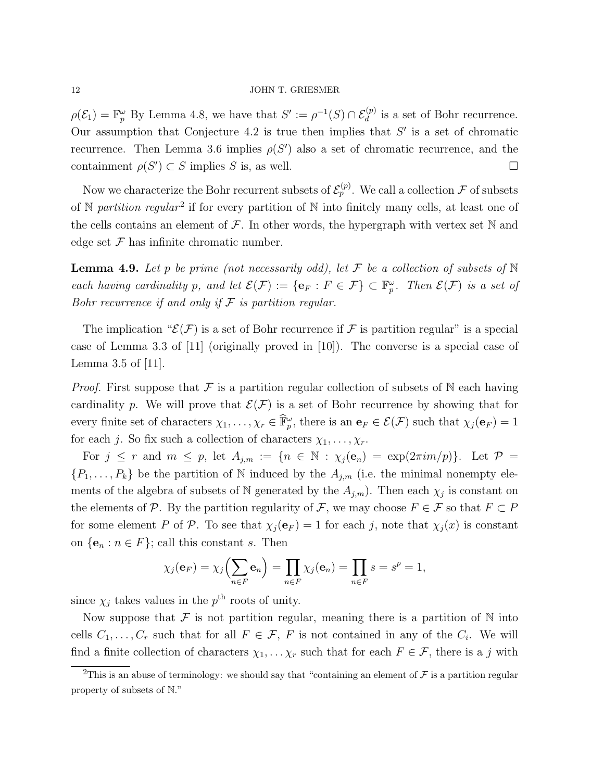$\rho(\mathcal{E}_1) = \mathbb{F}_p^{\omega}$  By Lemma [4.8,](#page-10-0) we have that  $S' := \rho^{-1}(S) \cap \mathcal{E}_d^{(p)}$  is a set of Bohr recurrence. Our assumption that Conjecture [4.2](#page-9-2) is true then implies that  $S'$  is a set of chromatic recurrence. Then Lemma [3.6](#page-7-6) implies  $\rho(S')$  also a set of chromatic recurrence, and the containment  $\rho(S') \subset S$  implies S is, as well.

Now we characterize the Bohr recurrent subsets of  $\mathcal{E}_p^{(p)}$ . We call a collection  $\mathcal F$  of subsets of N partition regular<sup>[2](#page-11-1)</sup> if for every partition of N into finitely many cells, at least one of the cells contains an element of  $\mathcal F$ . In other words, the hypergraph with vertex set  $\mathbb N$  and edge set  $\mathcal F$  has infinite chromatic number.

<span id="page-11-0"></span>**Lemma 4.9.** Let p be prime (not necessarily odd), let F be a collection of subsets of  $\mathbb N$ each having cardinality p, and let  $\mathcal{E}(\mathcal{F}) := \{ \mathbf{e}_F : F \in \mathcal{F} \} \subset \mathbb{F}_p^{\omega}$ . Then  $\mathcal{E}(\mathcal{F})$  is a set of Bohr recurrence if and only if  $\mathcal F$  is partition regular.

The implication " $\mathcal{E}(\mathcal{F})$  is a set of Bohr recurrence if  $\mathcal F$  is partition regular" is a special case of Lemma 3.3 of [\[11\]](#page-15-6) (originally proved in [\[10\]](#page-15-5)). The converse is a special case of Lemma 3.5 of [\[11\]](#page-15-6).

*Proof.* First suppose that  $\mathcal F$  is a partition regular collection of subsets of  $\mathbb N$  each having cardinality p. We will prove that  $\mathcal{E}(\mathcal{F})$  is a set of Bohr recurrence by showing that for every finite set of characters  $\chi_1, \ldots, \chi_r \in \hat{\mathbb{F}}_p^{\omega}$ , there is an  $\mathbf{e}_F \in \mathcal{E}(\mathcal{F})$  such that  $\chi_j(\mathbf{e}_F) = 1$ for each j. So fix such a collection of characters  $\chi_1, \ldots, \chi_r$ .

For  $j \leq r$  and  $m \leq p$ , let  $A_{j,m} := \{n \in \mathbb{N} : \chi_j(e_n) = \exp(2\pi i m/p)\}\.$  Let  $\mathcal{P} =$  $\{P_1, \ldots, P_k\}$  be the partition of N induced by the  $A_{j,m}$  (i.e. the minimal nonempty elements of the algebra of subsets of N generated by the  $A_{j,m}$ ). Then each  $\chi_j$  is constant on the elements of P. By the partition regularity of F, we may choose  $F \in \mathcal{F}$  so that  $F \subset P$ for some element P of P. To see that  $\chi_j(\mathbf{e}_F) = 1$  for each j, note that  $\chi_j(x)$  is constant on  $\{e_n : n \in F\}$ ; call this constant s. Then

$$
\chi_j(\mathbf{e}_F) = \chi_j\left(\sum_{n \in F} \mathbf{e}_n\right) = \prod_{n \in F} \chi_j(\mathbf{e}_n) = \prod_{n \in F} s = s^p = 1,
$$

since  $\chi_j$  takes values in the  $p^{\text{th}}$  roots of unity.

Now suppose that  $\mathcal F$  is not partition regular, meaning there is a partition of  $\mathbb N$  into cells  $C_1, \ldots, C_r$  such that for all  $F \in \mathcal{F}$ , F is not contained in any of the  $C_i$ . We will find a finite collection of characters  $\chi_1, \ldots, \chi_r$  such that for each  $F \in \mathcal{F}$ , there is a j with

<span id="page-11-1"></span><sup>&</sup>lt;sup>2</sup>This is an abuse of terminology: we should say that "containing an element of  $\mathcal F$  is a partition regular property of subsets of N."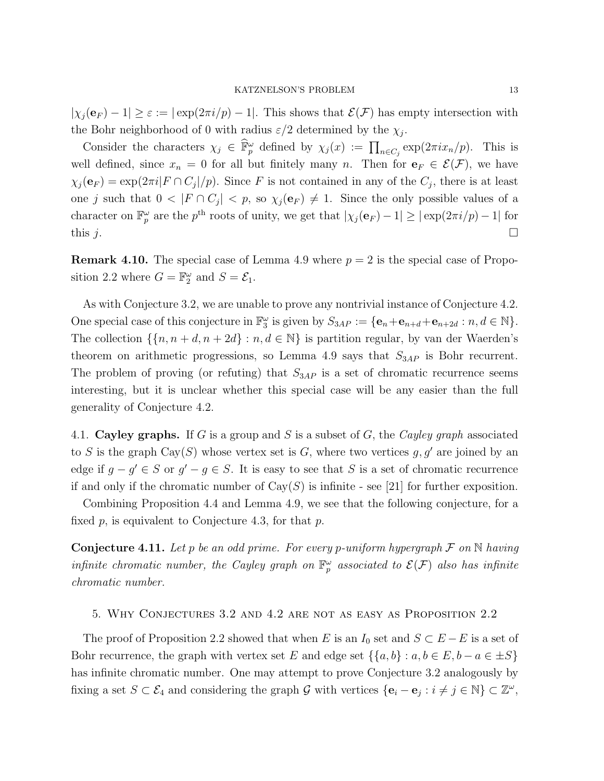$|\chi_i(\mathbf{e}_F) - 1| \geq \varepsilon := |\exp(2\pi i/p) - 1|$ . This shows that  $\mathcal{E}(F)$  has empty intersection with the Bohr neighborhood of 0 with radius  $\varepsilon/2$  determined by the  $\chi_j$ .

Consider the characters  $\chi_j \in \hat{\mathbb{F}}_p^{\omega}$  defined by  $\chi_j(x) := \prod_{n \in C_j} \exp(2\pi i x_n/p)$ . This is well defined, since  $x_n = 0$  for all but finitely many n. Then for  $e_F \in \mathcal{E}(\mathcal{F})$ , we have  $\chi_j(\mathbf{e}_F) = \exp(2\pi i |F \cap C_j|/p)$ . Since F is not contained in any of the  $C_j$ , there is at least one j such that  $0 < |F \cap C_j| < p$ , so  $\chi_j(e_F) \neq 1$ . Since the only possible values of a character on  $\mathbb{F}_p^{\omega}$  are the  $p^{\text{th}}$  roots of unity, we get that  $|\chi_j(\mathbf{e}_F)-1| \geq |\exp(2\pi i/p)-1|$  for this j.

**Remark 4.10.** The special case of Lemma [4.9](#page-11-0) where  $p = 2$  is the special case of Propo-sition [2.2](#page-3-0) where  $G = \mathbb{F}_2^{\omega}$  and  $S = \mathcal{E}_1$ .

As with Conjecture [3.2,](#page-7-1) we are unable to prove any nontrivial instance of Conjecture [4.2.](#page-9-2) One special case of this conjecture in  $\mathbb{F}_3^{\omega}$  is given by  $S_{3AP} := {\bf e}_n + {\bf e}_{n+d} + {\bf e}_{n+2d} : n, d \in \mathbb{N}$ . The collection  $\{\{n, n + d, n + 2d\} : n, d \in \mathbb{N}\}\$ is partition regular, by van der Waerden's theorem on arithmetic progressions, so Lemma [4.9](#page-11-0) says that  $S_{3AP}$  is Bohr recurrent. The problem of proving (or refuting) that  $S_{3AP}$  is a set of chromatic recurrence seems interesting, but it is unclear whether this special case will be any easier than the full generality of Conjecture [4.2.](#page-9-2)

4.1. Cayley graphs. If G is a group and S is a subset of G, the Cayley graph associated to S is the graph Cay(S) whose vertex set is G, where two vertices  $g, g'$  are joined by an edge if  $g - g' \in S$  or  $g' - g \in S$ . It is easy to see that S is a set of chromatic recurrence if and only if the chromatic number of  $Cay(S)$  is infinite - see [\[21\]](#page-15-0) for further exposition.

Combining Proposition [4.4](#page-9-0) and Lemma [4.9,](#page-11-0) we see that the following conjecture, for a fixed  $p$ , is equivalent to Conjecture [4.3,](#page-9-1) for that  $p$ .

**Conjecture 4.11.** Let p be an odd prime. For every p-uniform hypergraph  $\mathcal F$  on  $\mathbb N$  having infinite chromatic number, the Cayley graph on  $\mathbb{F}_p^{\omega}$  associated to  $\mathcal{E}(\mathcal{F})$  also has infinite chromatic number.

# <span id="page-12-0"></span>5. Why Conjectures [3.2](#page-7-1) and [4.2](#page-9-2) are not as easy as Proposition [2.2](#page-3-0)

The proof of Proposition [2.2](#page-3-0) showed that when E is an  $I_0$  set and  $S \subset E - E$  is a set of Bohr recurrence, the graph with vertex set E and edge set  $\{\{a, b\} : a, b \in E, b - a \in \pm S\}$ has infinite chromatic number. One may attempt to prove Conjecture [3.2](#page-7-1) analogously by fixing a set  $S \subset \mathcal{E}_4$  and considering the graph G with vertices  $\{ \mathbf{e}_i - \mathbf{e}_j : i \neq j \in \mathbb{N} \} \subset \mathbb{Z}^\omega$ ,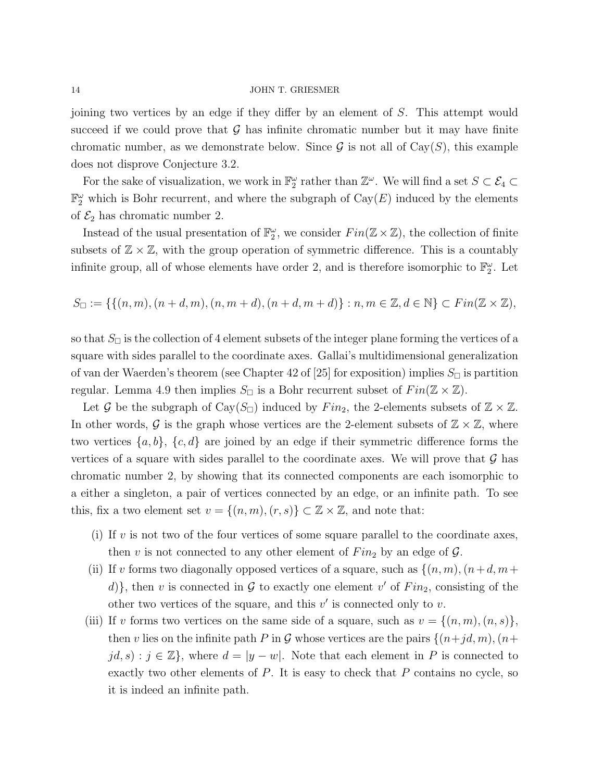joining two vertices by an edge if they differ by an element of S. This attempt would succeed if we could prove that  $\mathcal G$  has infinite chromatic number but it may have finite chromatic number, as we demonstrate below. Since  $\mathcal G$  is not all of Cay $(S)$ , this example does not disprove Conjecture [3.2.](#page-7-1)

For the sake of visualization, we work in  $\mathbb{F}_2^{\omega}$  rather than  $\mathbb{Z}^{\omega}$ . We will find a set  $S \subset \mathcal{E}_4 \subset$  $\mathbb{F}_2^{\omega}$  which is Bohr recurrent, and where the subgraph of  $\text{Cay}(E)$  induced by the elements of  $\mathcal{E}_2$  has chromatic number 2.

Instead of the usual presentation of  $\mathbb{F}_2^{\omega}$ , we consider  $Fin(\mathbb{Z}\times\mathbb{Z})$ , the collection of finite subsets of  $\mathbb{Z} \times \mathbb{Z}$ , with the group operation of symmetric difference. This is a countably infinite group, all of whose elements have order 2, and is therefore isomorphic to  $\mathbb{F}_2^{\omega}$ . Let

$$
S_{\square} := \{ \{ (n,m), (n+d,m), (n,m+d), (n+d,m+d) \} : n,m \in \mathbb{Z}, d \in \mathbb{N} \} \subset Fin(\mathbb{Z} \times \mathbb{Z}),
$$

so that  $S_{\Box}$  is the collection of 4 element subsets of the integer plane forming the vertices of a square with sides parallel to the coordinate axes. Gallai's multidimensional generalization of van der Waerden's theorem (see Chapter 42 of [\[25\]](#page-16-3) for exposition) implies  $S_{\Box}$  is partition regular. Lemma [4.9](#page-11-0) then implies  $S_{\Box}$  is a Bohr recurrent subset of  $Fin(\mathbb{Z} \times \mathbb{Z})$ .

Let G be the subgraph of Cay( $S_{\Box}$ ) induced by Fin<sub>2</sub>, the 2-elements subsets of  $\mathbb{Z} \times \mathbb{Z}$ . In other words, G is the graph whose vertices are the 2-element subsets of  $\mathbb{Z} \times \mathbb{Z}$ , where two vertices  $\{a, b\}$ ,  $\{c, d\}$  are joined by an edge if their symmetric difference forms the vertices of a square with sides parallel to the coordinate axes. We will prove that  $\mathcal G$  has chromatic number 2, by showing that its connected components are each isomorphic to a either a singleton, a pair of vertices connected by an edge, or an infinite path. To see this, fix a two element set  $v = \{(n, m), (r, s)\}\subset \mathbb{Z}\times \mathbb{Z}$ , and note that:

- (i) If  $v$  is not two of the four vertices of some square parallel to the coordinate axes, then v is not connected to any other element of  $Fin_2$  by an edge of  $\mathcal{G}$ .
- (ii) If v forms two diagonally opposed vertices of a square, such as  $\{(n,m),(n+d,m+$ d), then v is connected in  $G$  to exactly one element v' of  $Fin_2$ , consisting of the other two vertices of the square, and this  $v'$  is connected only to  $v$ .
- (iii) If v forms two vertices on the same side of a square, such as  $v = \{(n, m), (n, s)\},\$ then v lies on the infinite path P in G whose vertices are the pairs  $\{(n+jd, m), (n+jd, m)\}$  $jd, s$ :  $j \in \mathbb{Z}$ , where  $d = |y - w|$ . Note that each element in P is connected to exactly two other elements of  $P$ . It is easy to check that  $P$  contains no cycle, so it is indeed an infinite path.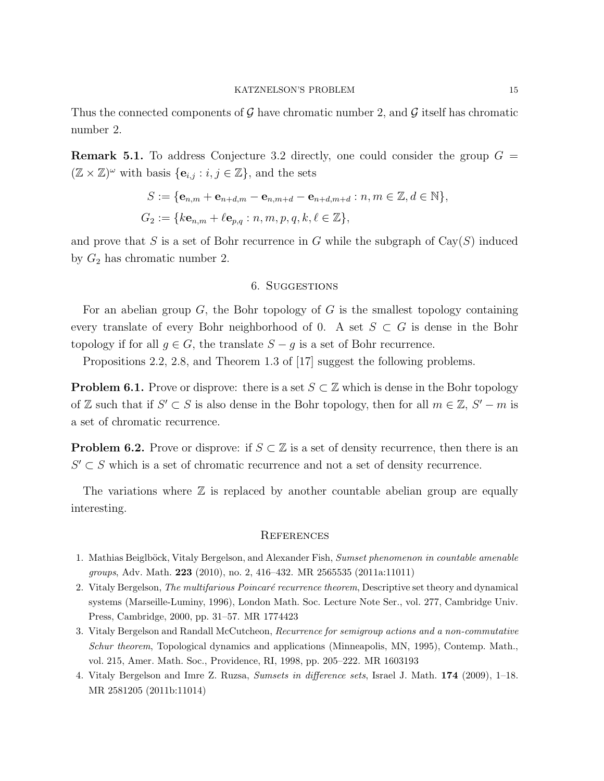Thus the connected components of  $\mathcal G$  have chromatic number 2, and  $\mathcal G$  itself has chromatic number 2.

**Remark 5.1.** To address Conjecture [3.2](#page-7-1) directly, one could consider the group  $G =$  $(\mathbb{Z} \times \mathbb{Z})^{\omega}$  with basis  $\{\mathbf{e}_{i,j} : i, j \in \mathbb{Z}\},\$  and the sets

$$
S := \{ \mathbf{e}_{n,m} + \mathbf{e}_{n+d,m} - \mathbf{e}_{n,m+d} - \mathbf{e}_{n+d,m+d} : n, m \in \mathbb{Z}, d \in \mathbb{N} \},
$$
  

$$
G_2 := \{ k\mathbf{e}_{n,m} + \ell \mathbf{e}_{p,q} : n, m, p, q, k, \ell \in \mathbb{Z} \},
$$

<span id="page-14-2"></span>and prove that S is a set of Bohr recurrence in G while the subgraph of  $Cay(S)$  induced by  $G_2$  has chromatic number 2.

# 6. Suggestions

For an abelian group  $G$ , the Bohr topology of  $G$  is the smallest topology containing every translate of every Bohr neighborhood of 0. A set  $S \subset G$  is dense in the Bohr topology if for all  $g \in G$ , the translate  $S - g$  is a set of Bohr recurrence.

Propositions [2.2,](#page-3-0) [2.8,](#page-5-1) and Theorem 1.3 of [\[17\]](#page-15-18) suggest the following problems.

**Problem 6.1.** Prove or disprove: there is a set  $S \subset \mathbb{Z}$  which is dense in the Bohr topology of Z such that if  $S' \subset S$  is also dense in the Bohr topology, then for all  $m \in \mathbb{Z}$ ,  $S' - m$  is a set of chromatic recurrence.

**Problem 6.2.** Prove or disprove: if  $S \subset \mathbb{Z}$  is a set of density recurrence, then there is an  $S' \subset S$  which is a set of chromatic recurrence and not a set of density recurrence.

The variations where  $\mathbb Z$  is replaced by another countable abelian group are equally interesting.

## **REFERENCES**

- <span id="page-14-3"></span><span id="page-14-1"></span>1. Mathias Beiglböck, Vitaly Bergelson, and Alexander Fish, Sumset phenomenon in countable amenable groups, Adv. Math. 223 (2010), no. 2, 416–432. MR 2565535 (2011a:11011)
- 2. Vitaly Bergelson, The multifarious Poincaré recurrence theorem, Descriptive set theory and dynamical systems (Marseille-Luminy, 1996), London Math. Soc. Lecture Note Ser., vol. 277, Cambridge Univ. Press, Cambridge, 2000, pp. 31–57. MR 1774423
- <span id="page-14-0"></span>3. Vitaly Bergelson and Randall McCutcheon, Recurrence for semigroup actions and a non-commutative Schur theorem, Topological dynamics and applications (Minneapolis, MN, 1995), Contemp. Math., vol. 215, Amer. Math. Soc., Providence, RI, 1998, pp. 205–222. MR 1603193
- <span id="page-14-4"></span>4. Vitaly Bergelson and Imre Z. Ruzsa, Sumsets in difference sets, Israel J. Math. 174 (2009), 1–18. MR 2581205 (2011b:11014)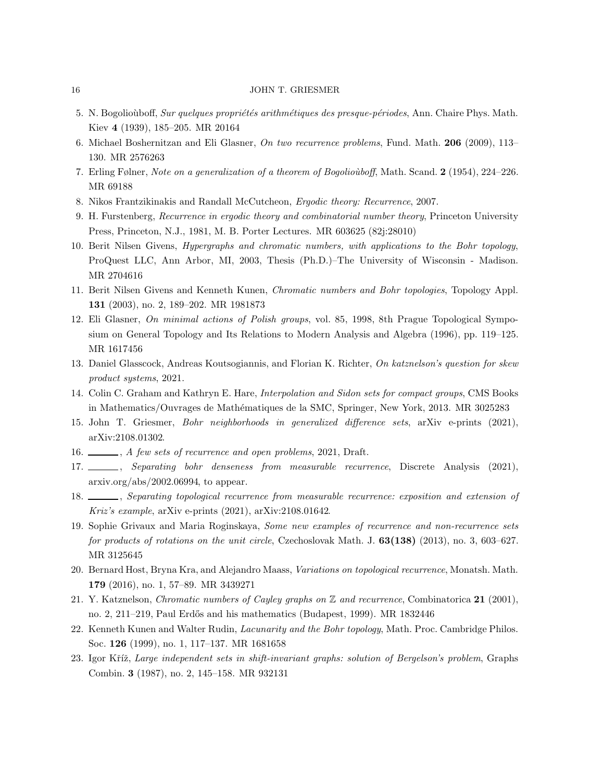- <span id="page-15-15"></span><span id="page-15-8"></span>5. N. Bogolioùboff, Sur quelques propriétés arithmétiques des presque-périodes, Ann. Chaire Phys. Math. Kiev 4 (1939), 185–205. MR 20164
- <span id="page-15-3"></span>6. Michael Boshernitzan and Eli Glasner, On two recurrence problems, Fund. Math. 206 (2009), 113– 130. MR 2576263
- <span id="page-15-14"></span>7. Erling Følner, Note on a generalization of a theorem of Bogoliouboff, Math. Scand. 2 (1954), 224–226. MR 69188
- <span id="page-15-13"></span>8. Nikos Frantzikinakis and Randall McCutcheon, Ergodic theory: Recurrence, 2007.
- <span id="page-15-5"></span>9. H. Furstenberg, Recurrence in ergodic theory and combinatorial number theory, Princeton University Press, Princeton, N.J., 1981, M. B. Porter Lectures. MR 603625 (82j:28010)
- 10. Berit Nilsen Givens, Hypergraphs and chromatic numbers, with applications to the Bohr topology, ProQuest LLC, Ann Arbor, MI, 2003, Thesis (Ph.D.)–The University of Wisconsin - Madison. MR 2704616
- <span id="page-15-7"></span><span id="page-15-6"></span>11. Berit Nilsen Givens and Kenneth Kunen, Chromatic numbers and Bohr topologies, Topology Appl. 131 (2003), no. 2, 189–202. MR 1981873
- 12. Eli Glasner, On minimal actions of Polish groups, vol. 85, 1998, 8th Prague Topological Symposium on General Topology and Its Relations to Modern Analysis and Algebra (1996), pp. 119–125. MR 1617456
- <span id="page-15-11"></span><span id="page-15-1"></span>13. Daniel Glasscock, Andreas Koutsogiannis, and Florian K. Richter, On katznelson's question for skew product systems, 2021.
- <span id="page-15-16"></span>14. Colin C. Graham and Kathryn E. Hare, Interpolation and Sidon sets for compact groups, CMS Books in Mathematics/Ouvrages de Math´ematiques de la SMC, Springer, New York, 2013. MR 3025283
- <span id="page-15-17"></span>15. John T. Griesmer, Bohr neighborhoods in generalized difference sets, arXiv e-prints (2021), [arXiv:2108.01302.](https://arxiv.org/abs/2108.01302)
- <span id="page-15-18"></span>16.  $\_\_\_\_\_$ , A few sets of recurrence and open problems, 2021, Draft.
- <span id="page-15-4"></span>17. , Separating bohr denseness from measurable recurrence, Discrete Analysis (2021), [arxiv.org/abs/2002.06994,](https://arxiv.org/abs/2002.06994) to appear.
- <span id="page-15-9"></span>18.  $\_\_\_\_\$ geparating topological recurrence from measurable recurrence: exposition and extension of Kriz's example, arXiv e-prints (2021), [arXiv:2108.01642.](https://arxiv.org/abs/2108.01642)
- 19. Sophie Grivaux and Maria Roginskaya, Some new examples of recurrence and non-recurrence sets for products of rotations on the unit circle, Czechoslovak Math. J. 63(138) (2013), no. 3, 603-627. MR 3125645
- <span id="page-15-10"></span><span id="page-15-0"></span>20. Bernard Host, Bryna Kra, and Alejandro Maass, Variations on topological recurrence, Monatsh. Math. 179 (2016), no. 1, 57–89. MR 3439271
- <span id="page-15-12"></span>21. Y. Katznelson, Chromatic numbers of Cayley graphs on Z and recurrence, Combinatorica 21 (2001), no. 2, 211–219, Paul Erdős and his mathematics (Budapest, 1999). MR 1832446
- <span id="page-15-2"></span>22. Kenneth Kunen and Walter Rudin, Lacunarity and the Bohr topology, Math. Proc. Cambridge Philos. Soc. 126 (1999), no. 1, 117–137. MR 1681658
- 23. Igor Kříž, Large independent sets in shift-invariant graphs: solution of Bergelson's problem, Graphs Combin. 3 (1987), no. 2, 145–158. MR 932131